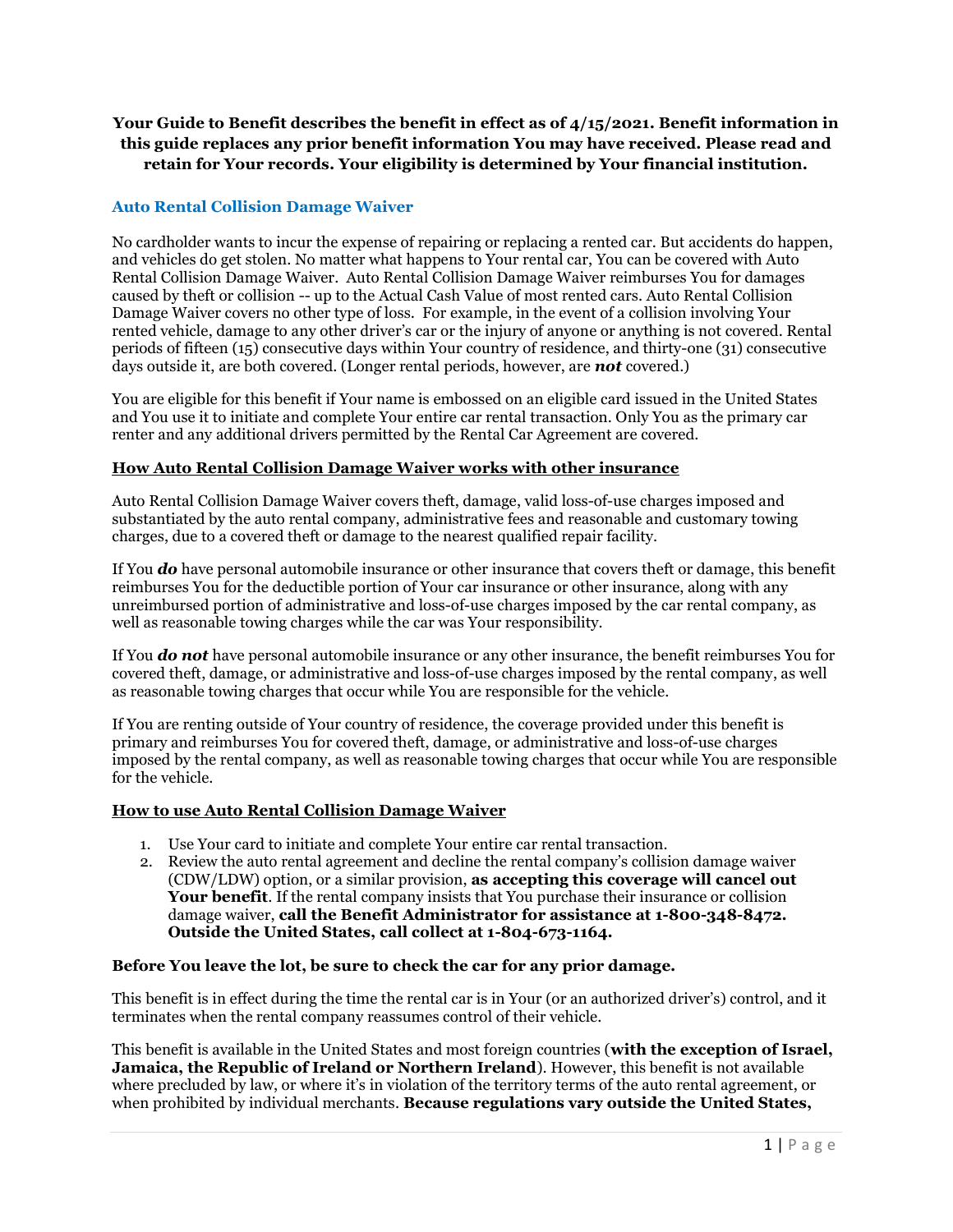# Your Guide to Benefit describes the benefit in effect as of 4/15/2021. Benefit information in this guide replaces any prior benefit information You may have received. Please read and retain for Your records. Your eligibility is determined by Your financial institution.

## Auto Rental Collision Damage Waiver

No cardholder wants to incur the expense of repairing or replacing a rented car. But accidents do happen, and vehicles do get stolen. No matter what happens to Your rental car, You can be covered with Auto Rental Collision Damage Waiver. Auto Rental Collision Damage Waiver reimburses You for damages caused by theft or collision -- up to the Actual Cash Value of most rented cars. Auto Rental Collision Damage Waiver covers no other type of loss. For example, in the event of a collision involving Your rented vehicle, damage to any other driver's car or the injury of anyone or anything is not covered. Rental periods of fifteen (15) consecutive days within Your country of residence, and thirty-one (31) consecutive days outside it, are both covered. (Longer rental periods, however, are **not** covered.)

You are eligible for this benefit if Your name is embossed on an eligible card issued in the United States and You use it to initiate and complete Your entire car rental transaction. Only You as the primary car renter and any additional drivers permitted by the Rental Car Agreement are covered.

#### How Auto Rental Collision Damage Waiver works with other insurance

Auto Rental Collision Damage Waiver covers theft, damage, valid loss-of-use charges imposed and substantiated by the auto rental company, administrative fees and reasonable and customary towing charges, due to a covered theft or damage to the nearest qualified repair facility.

If You **do** have personal automobile insurance or other insurance that covers theft or damage, this benefit reimburses You for the deductible portion of Your car insurance or other insurance, along with any unreimbursed portion of administrative and loss-of-use charges imposed by the car rental company, as well as reasonable towing charges while the car was Your responsibility.

If You **do not** have personal automobile insurance or any other insurance, the benefit reimburses You for covered theft, damage, or administrative and loss-of-use charges imposed by the rental company, as well as reasonable towing charges that occur while You are responsible for the vehicle.

If You are renting outside of Your country of residence, the coverage provided under this benefit is primary and reimburses You for covered theft, damage, or administrative and loss-of-use charges imposed by the rental company, as well as reasonable towing charges that occur while You are responsible for the vehicle.

#### How to use Auto Rental Collision Damage Waiver

- 1. Use Your card to initiate and complete Your entire car rental transaction.
- 2. Review the auto rental agreement and decline the rental company's collision damage waiver (CDW/LDW) option, or a similar provision, as accepting this coverage will cancel out Your benefit. If the rental company insists that You purchase their insurance or collision damage waiver, call the Benefit Administrator for assistance at 1-800-348-8472. Outside the United States, call collect at 1-804-673-1164.

#### Before You leave the lot, be sure to check the car for any prior damage.

This benefit is in effect during the time the rental car is in Your (or an authorized driver's) control, and it terminates when the rental company reassumes control of their vehicle.

This benefit is available in the United States and most foreign countries (with the exception of Israel, Jamaica, the Republic of Ireland or Northern Ireland). However, this benefit is not available where precluded by law, or where it's in violation of the territory terms of the auto rental agreement, or when prohibited by individual merchants. Because regulations vary outside the United States,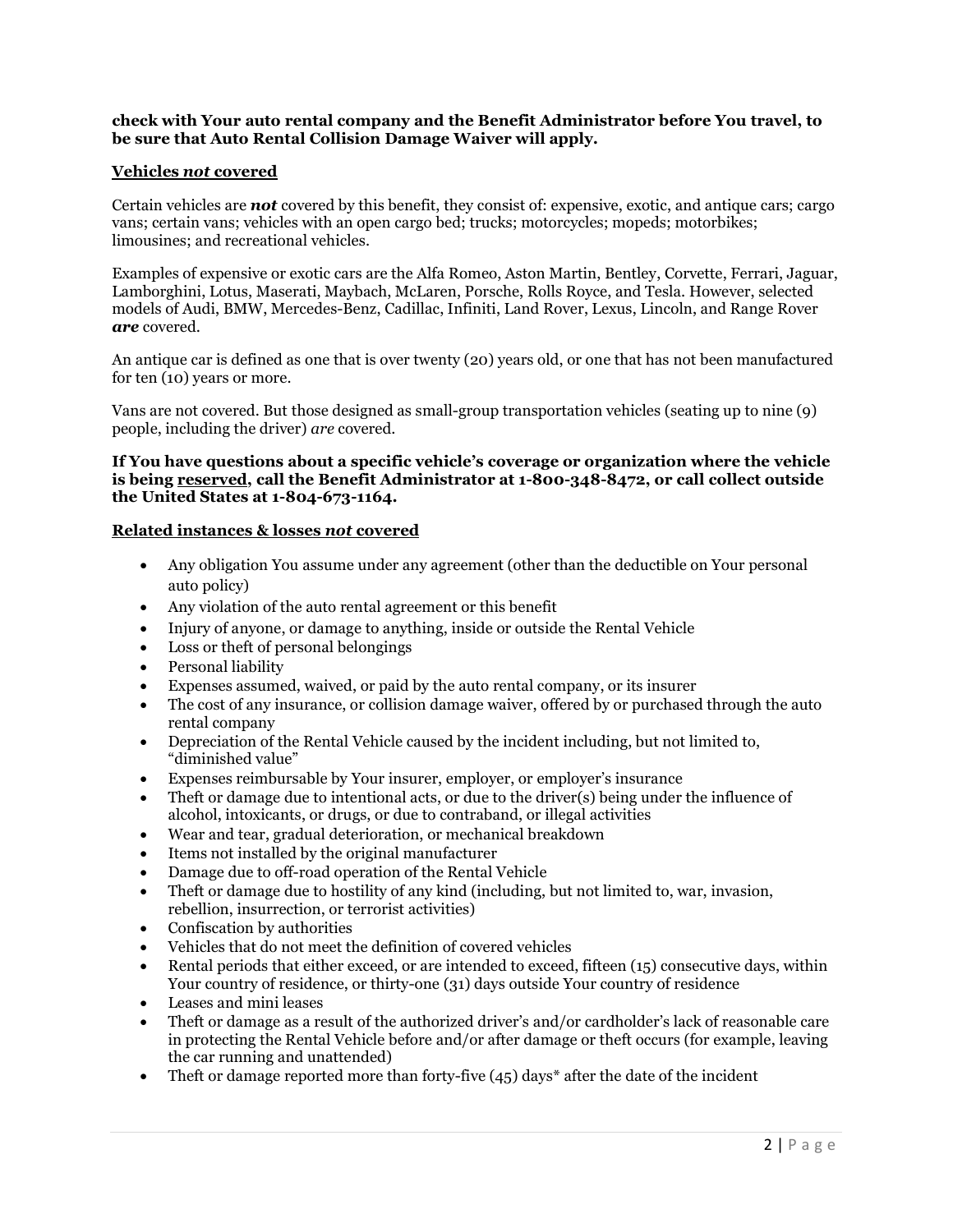## check with Your auto rental company and the Benefit Administrator before You travel, to be sure that Auto Rental Collision Damage Waiver will apply.

## Vehicles not covered

Certain vehicles are **not** covered by this benefit, they consist of: expensive, exotic, and antique cars; cargo vans; certain vans; vehicles with an open cargo bed; trucks; motorcycles; mopeds; motorbikes; limousines; and recreational vehicles.

Examples of expensive or exotic cars are the Alfa Romeo, Aston Martin, Bentley, Corvette, Ferrari, Jaguar, Lamborghini, Lotus, Maserati, Maybach, McLaren, Porsche, Rolls Royce, and Tesla. However, selected models of Audi, BMW, Mercedes-Benz, Cadillac, Infiniti, Land Rover, Lexus, Lincoln, and Range Rover are covered.

An antique car is defined as one that is over twenty (20) years old, or one that has not been manufactured for ten (10) years or more.

Vans are not covered. But those designed as small-group transportation vehicles (seating up to nine (9) people, including the driver) are covered.

## If You have questions about a specific vehicle's coverage or organization where the vehicle is being reserved, call the Benefit Administrator at 1-800-348-8472, or call collect outside the United States at 1-804-673-1164.

#### Related instances & losses not covered

- Any obligation You assume under any agreement (other than the deductible on Your personal auto policy)
- Any violation of the auto rental agreement or this benefit
- Injury of anyone, or damage to anything, inside or outside the Rental Vehicle
- Loss or theft of personal belongings
- Personal liability
- Expenses assumed, waived, or paid by the auto rental company, or its insurer
- The cost of any insurance, or collision damage waiver, offered by or purchased through the auto rental company
- Depreciation of the Rental Vehicle caused by the incident including, but not limited to, "diminished value"
- Expenses reimbursable by Your insurer, employer, or employer's insurance
- Theft or damage due to intentional acts, or due to the driver(s) being under the influence of alcohol, intoxicants, or drugs, or due to contraband, or illegal activities
- Wear and tear, gradual deterioration, or mechanical breakdown
- Items not installed by the original manufacturer
- Damage due to off-road operation of the Rental Vehicle
- Theft or damage due to hostility of any kind (including, but not limited to, war, invasion, rebellion, insurrection, or terrorist activities)
- Confiscation by authorities
- Vehicles that do not meet the definition of covered vehicles
- Rental periods that either exceed, or are intended to exceed, fifteen (15) consecutive days, within Your country of residence, or thirty-one (31) days outside Your country of residence
- Leases and mini leases
- Theft or damage as a result of the authorized driver's and/or cardholder's lack of reasonable care in protecting the Rental Vehicle before and/or after damage or theft occurs (for example, leaving the car running and unattended)
- Theft or damage reported more than forty-five  $(45)$  days\* after the date of the incident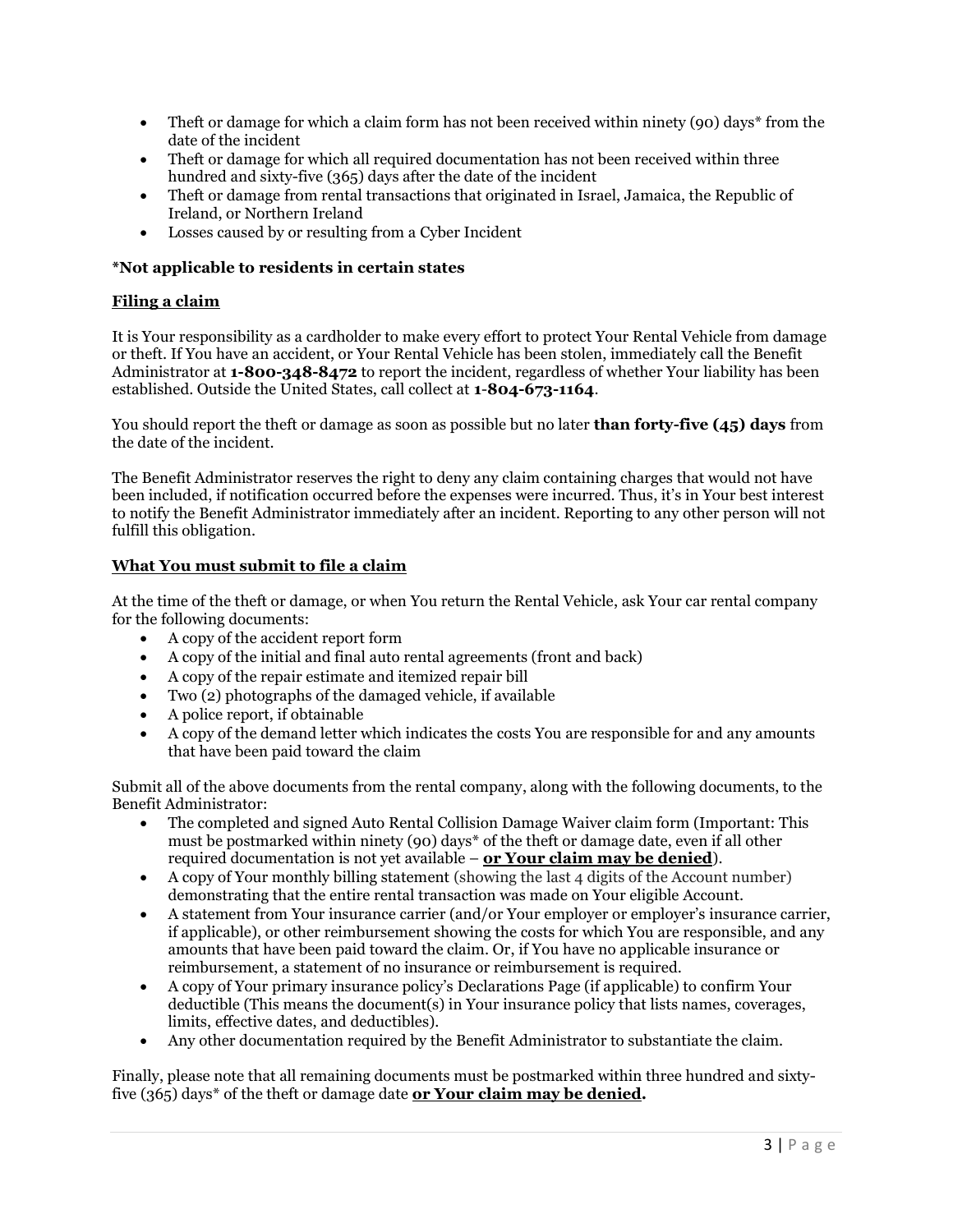- Theft or damage for which a claim form has not been received within ninety (90) days\* from the date of the incident
- Theft or damage for which all required documentation has not been received within three hundred and sixty-five (365) days after the date of the incident
- Theft or damage from rental transactions that originated in Israel, Jamaica, the Republic of Ireland, or Northern Ireland
- Losses caused by or resulting from a Cyber Incident

## \*Not applicable to residents in certain states

## Filing a claim

It is Your responsibility as a cardholder to make every effort to protect Your Rental Vehicle from damage or theft. If You have an accident, or Your Rental Vehicle has been stolen, immediately call the Benefit Administrator at 1-800-348-8472 to report the incident, regardless of whether Your liability has been established. Outside the United States, call collect at 1-804-673-1164.

You should report the theft or damage as soon as possible but no later **than forty-five (45) days** from the date of the incident.

The Benefit Administrator reserves the right to deny any claim containing charges that would not have been included, if notification occurred before the expenses were incurred. Thus, it's in Your best interest to notify the Benefit Administrator immediately after an incident. Reporting to any other person will not fulfill this obligation.

#### What You must submit to file a claim

At the time of the theft or damage, or when You return the Rental Vehicle, ask Your car rental company for the following documents:

- A copy of the accident report form
- A copy of the initial and final auto rental agreements (front and back)
- A copy of the repair estimate and itemized repair bill
- Two (2) photographs of the damaged vehicle, if available
- A police report, if obtainable
- A copy of the demand letter which indicates the costs You are responsible for and any amounts that have been paid toward the claim

Submit all of the above documents from the rental company, along with the following documents, to the Benefit Administrator:

- The completed and signed Auto Rental Collision Damage Waiver claim form (Important: This must be postmarked within ninety (90) days\* of the theft or damage date, even if all other required documentation is not yet available  $-$  or Your claim may be denied).
- A copy of Your monthly billing statement (showing the last 4 digits of the Account number) demonstrating that the entire rental transaction was made on Your eligible Account.
- A statement from Your insurance carrier (and/or Your employer or employer's insurance carrier, if applicable), or other reimbursement showing the costs for which You are responsible, and any amounts that have been paid toward the claim. Or, if You have no applicable insurance or reimbursement, a statement of no insurance or reimbursement is required.
- A copy of Your primary insurance policy's Declarations Page (if applicable) to confirm Your deductible (This means the document(s) in Your insurance policy that lists names, coverages, limits, effective dates, and deductibles).
- Any other documentation required by the Benefit Administrator to substantiate the claim.

Finally, please note that all remaining documents must be postmarked within three hundred and sixtyfive  $(365)$  days\* of the theft or damage date or Your claim may be denied.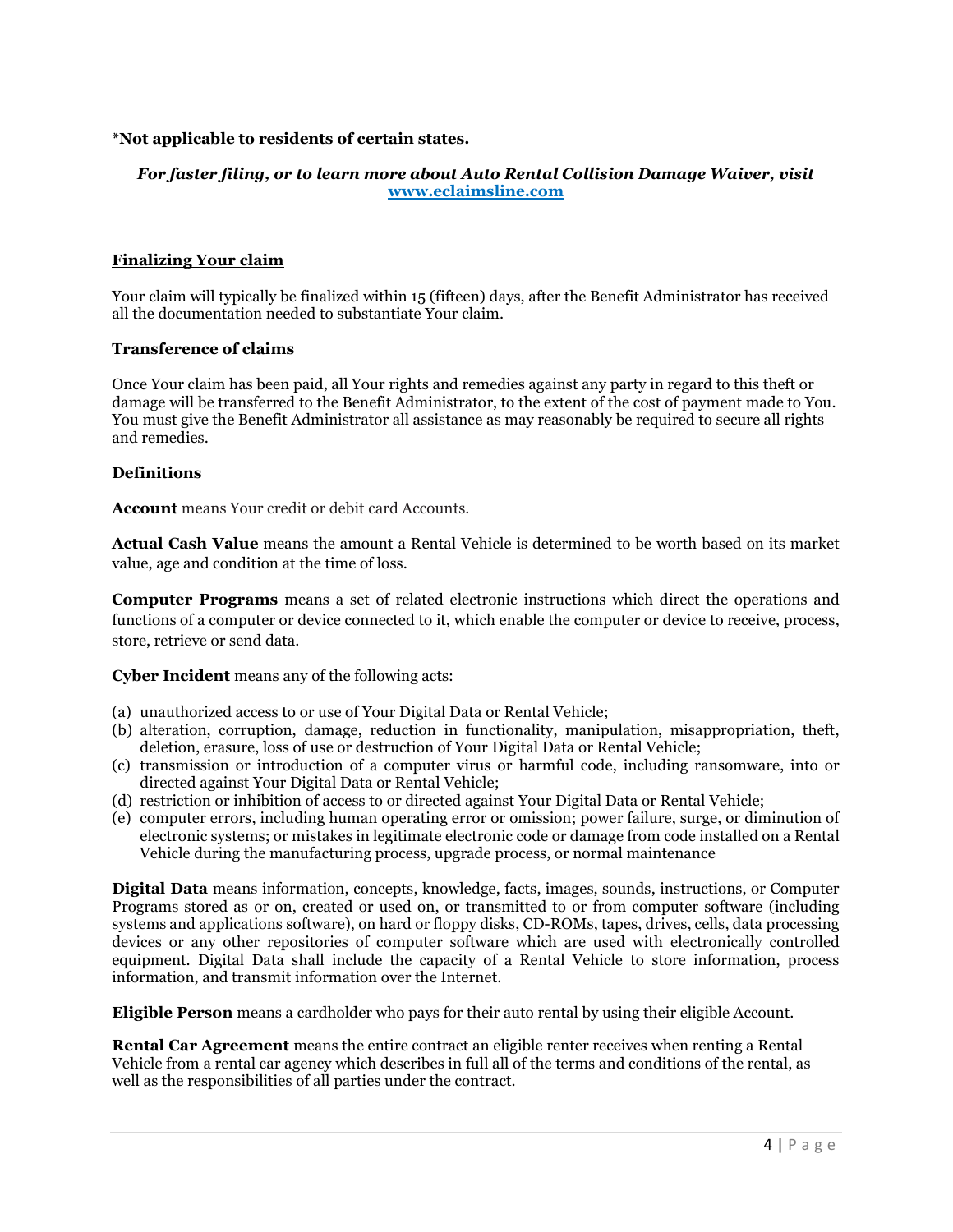## \*Not applicable to residents of certain states.

## For faster filing, or to learn more about Auto Rental Collision Damage Waiver, visit www.eclaimsline.com

#### Finalizing Your claim

Your claim will typically be finalized within 15 (fifteen) days, after the Benefit Administrator has received all the documentation needed to substantiate Your claim.

#### Transference of claims

Once Your claim has been paid, all Your rights and remedies against any party in regard to this theft or damage will be transferred to the Benefit Administrator, to the extent of the cost of payment made to You. You must give the Benefit Administrator all assistance as may reasonably be required to secure all rights and remedies.

#### Definitions

Account means Your credit or debit card Accounts.

Actual Cash Value means the amount a Rental Vehicle is determined to be worth based on its market value, age and condition at the time of loss.

Computer Programs means a set of related electronic instructions which direct the operations and functions of a computer or device connected to it, which enable the computer or device to receive, process, store, retrieve or send data.

Cyber Incident means any of the following acts:

- (a) unauthorized access to or use of Your Digital Data or Rental Vehicle;
- (b) alteration, corruption, damage, reduction in functionality, manipulation, misappropriation, theft, deletion, erasure, loss of use or destruction of Your Digital Data or Rental Vehicle;
- (c) transmission or introduction of a computer virus or harmful code, including ransomware, into or directed against Your Digital Data or Rental Vehicle;
- (d) restriction or inhibition of access to or directed against Your Digital Data or Rental Vehicle;
- (e) computer errors, including human operating error or omission; power failure, surge, or diminution of electronic systems; or mistakes in legitimate electronic code or damage from code installed on a Rental Vehicle during the manufacturing process, upgrade process, or normal maintenance

Digital Data means information, concepts, knowledge, facts, images, sounds, instructions, or Computer Programs stored as or on, created or used on, or transmitted to or from computer software (including systems and applications software), on hard or floppy disks, CD-ROMs, tapes, drives, cells, data processing devices or any other repositories of computer software which are used with electronically controlled equipment. Digital Data shall include the capacity of a Rental Vehicle to store information, process information, and transmit information over the Internet.

Eligible Person means a cardholder who pays for their auto rental by using their eligible Account.

Rental Car Agreement means the entire contract an eligible renter receives when renting a Rental Vehicle from a rental car agency which describes in full all of the terms and conditions of the rental, as well as the responsibilities of all parties under the contract.